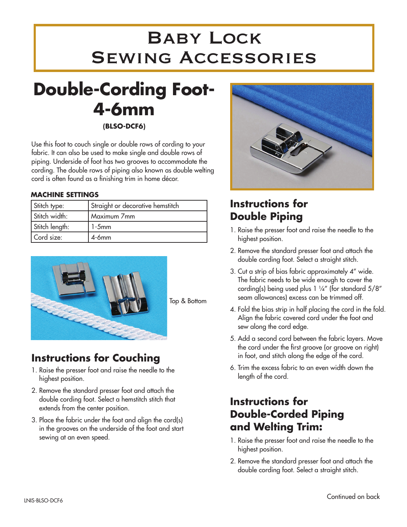# Baby Lock Sewing Accessories

## **Double-Cording Foot-4-6mm (BLSO-DCF6)**

Use this foot to couch single or double rows of cording to your fabric. It can also be used to make single and double rows of piping. Underside of foot has two grooves to accommodate the cording. The double rows of piping also known as double welting cord is often found as a finishing trim in home décor.

#### **Machine Settings**

| Stitch type:   | Straight or decorative hemstitch |
|----------------|----------------------------------|
| Stitch width:  | Maximum 7mm                      |
| Stitch length: | $1-5$ mm                         |
| Cord size:     | $4 - 6$ mm                       |



Top & Bottom

### **Instructions for Couching**

- 1. Raise the presser foot and raise the needle to the highest position.
- 2. Remove the standard presser foot and attach the double cording foot. Select a hemstitch stitch that extends from the center position.
- 3. Place the fabric under the foot and align the cord(s) in the grooves on the underside of the foot and start sewing at an even speed.



### **Instructions for Double Piping**

- 1. Raise the presser foot and raise the needle to the highest position.
- 2. Remove the standard presser foot and attach the double cording foot. Select a straight stitch.
- 3. Cut a strip of bias fabric approximately 4" wide. The fabric needs to be wide enough to cover the cording(s) being used plus 1 ¼" (for standard 5/8" seam allowances) excess can be trimmed off.
- 4. Fold the bias strip in half placing the cord in the fold. Align the fabric covered cord under the foot and sew along the cord edge.
- 5. Add a second cord between the fabric layers. Move the cord under the first groove (or groove on right) in foot, and stitch along the edge of the cord.
- 6. Trim the excess fabric to an even width down the length of the cord.

#### **Instructions for Double-Corded Piping and Welting Trim:**

- 1. Raise the presser foot and raise the needle to the highest position.
- 2. Remove the standard presser foot and attach the double cording foot. Select a straight stitch.